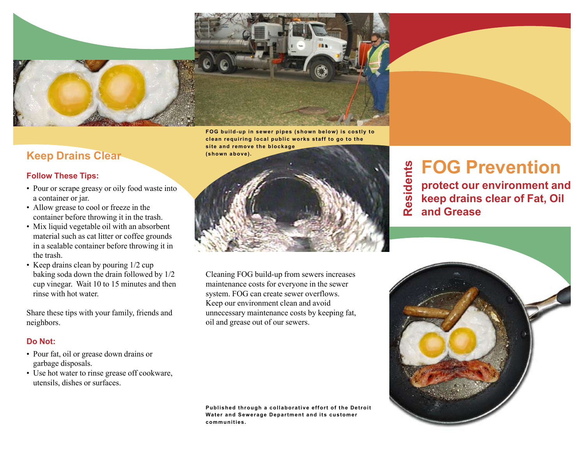

#### **Keep Drains Clear (shown above).**

#### **Follow These Tips:**

- Pour or scrape greasy or oily food waste into a container or jar.
- Allow grease to cool or freeze in the container before throwing it in the trash.
- Mix liquid vegetable oil with an absorbent material such as cat litter or coffee grounds in a sealable container before throwing it in the trash.
- Keep drains clean by pouring  $1/2$  cup baking soda down the drain followed by 1/2 cup vinegar. Wait 10 to 15 minutes and then rinse with hot water.

Share these tips with your family, friends and neighbors.

#### **Do Not:**

- Pour fat, oil or grease down drains or garbage disposals.
- Use hot water to rinse grease off cookware, utensils, dishes or surfaces.

**clean requiring local public works staff to go to the site and remove the blockage** 



Cleaning FOG build-up from sewers increases maintenance costs for everyone in the sewer system. FOG can create sewer overflows. Keep our environment clean and avoid unnecessary maintenance costs by keeping fat, oil and grease out of our sewers.

**Published through a collaborative effort of the Detroit Water and Sewerage Department and its customer communities.**

**FOG Prevention** Residents **Residents protect our environment and keep drains clear of Fat, Oil and Grease**